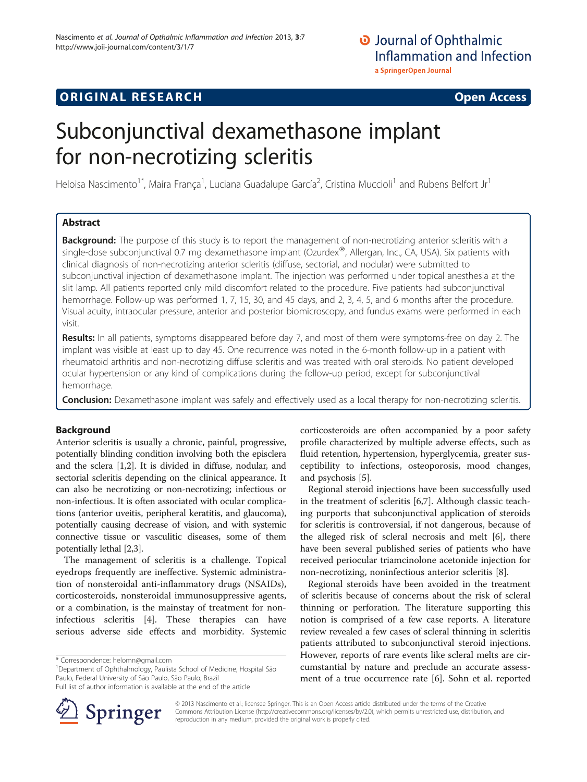# **ORIGINAL RESEARCH CONSUMING ACCESS**

# Subconjunctival dexamethasone implant for non-necrotizing scleritis

Heloisa Nascimento<sup>1\*</sup>, Maíra França<sup>1</sup>, Luciana Guadalupe García<sup>2</sup>, Cristina Muccioli<sup>1</sup> and Rubens Belfort Jr<sup>1</sup>

# Abstract

Background: The purpose of this study is to report the management of non-necrotizing anterior scleritis with a single-dose subconjunctival 0.7 mg dexamethasone implant (Ozurdex®, Allergan, Inc., CA, USA). Six patients with clinical diagnosis of non-necrotizing anterior scleritis (diffuse, sectorial, and nodular) were submitted to subconjunctival injection of dexamethasone implant. The injection was performed under topical anesthesia at the slit lamp. All patients reported only mild discomfort related to the procedure. Five patients had subconjunctival hemorrhage. Follow-up was performed 1, 7, 15, 30, and 45 days, and 2, 3, 4, 5, and 6 months after the procedure. Visual acuity, intraocular pressure, anterior and posterior biomicroscopy, and fundus exams were performed in each visit.

Results: In all patients, symptoms disappeared before day 7, and most of them were symptoms-free on day 2. The implant was visible at least up to day 45. One recurrence was noted in the 6-month follow-up in a patient with rheumatoid arthritis and non-necrotizing diffuse scleritis and was treated with oral steroids. No patient developed ocular hypertension or any kind of complications during the follow-up period, except for subconjunctival hemorrhage.

Conclusion: Dexamethasone implant was safely and effectively used as a local therapy for non-necrotizing scleritis.

# Background

Anterior scleritis is usually a chronic, painful, progressive, potentially blinding condition involving both the episclera and the sclera [[1,2](#page-3-0)]. It is divided in diffuse, nodular, and sectorial scleritis depending on the clinical appearance. It can also be necrotizing or non-necrotizing; infectious or non-infectious. It is often associated with ocular complications (anterior uveitis, peripheral keratitis, and glaucoma), potentially causing decrease of vision, and with systemic connective tissue or vasculitic diseases, some of them potentially lethal [[2,3](#page-3-0)].

The management of scleritis is a challenge. Topical eyedrops frequently are ineffective. Systemic administration of nonsteroidal anti-inflammatory drugs (NSAIDs), corticosteroids, nonsteroidal immunosuppressive agents, or a combination, is the mainstay of treatment for noninfectious scleritis [\[4\]](#page-3-0). These therapies can have serious adverse side effects and morbidity. Systemic

<sup>1</sup>Department of Ophthalmology, Paulista School of Medicine, Hospital São Paulo, Federal University of São Paulo, São Paulo, Brazil

Full list of author information is available at the end of the article



corticosteroids are often accompanied by a poor safety profile characterized by multiple adverse effects, such as fluid retention, hypertension, hyperglycemia, greater susceptibility to infections, osteoporosis, mood changes, and psychosis [\[5](#page-3-0)].

Regional steroid injections have been successfully used in the treatment of scleritis [[6,7\]](#page-3-0). Although classic teaching purports that subconjunctival application of steroids for scleritis is controversial, if not dangerous, because of the alleged risk of scleral necrosis and melt [[6\]](#page-3-0), there have been several published series of patients who have received periocular triamcinolone acetonide injection for non-necrotizing, noninfectious anterior scleritis [\[8](#page-3-0)].

Regional steroids have been avoided in the treatment of scleritis because of concerns about the risk of scleral thinning or perforation. The literature supporting this notion is comprised of a few case reports. A literature review revealed a few cases of scleral thinning in scleritis patients attributed to subconjunctival steroid injections. However, reports of rare events like scleral melts are circumstantial by nature and preclude an accurate assessment of a true occurrence rate [\[6](#page-3-0)]. Sohn et al. reported

© 2013 Nascimento et al.; licensee Springer. This is an Open Access article distributed under the terms of the Creative Commons Attribution License (<http://creativecommons.org/licenses/by/2.0>), which permits unrestricted use, distribution, and reproduction in any medium, provided the original work is properly cited.

<sup>\*</sup> Correspondence: [helomn@gmail.com](mailto:helomn@gmail.com) <sup>1</sup>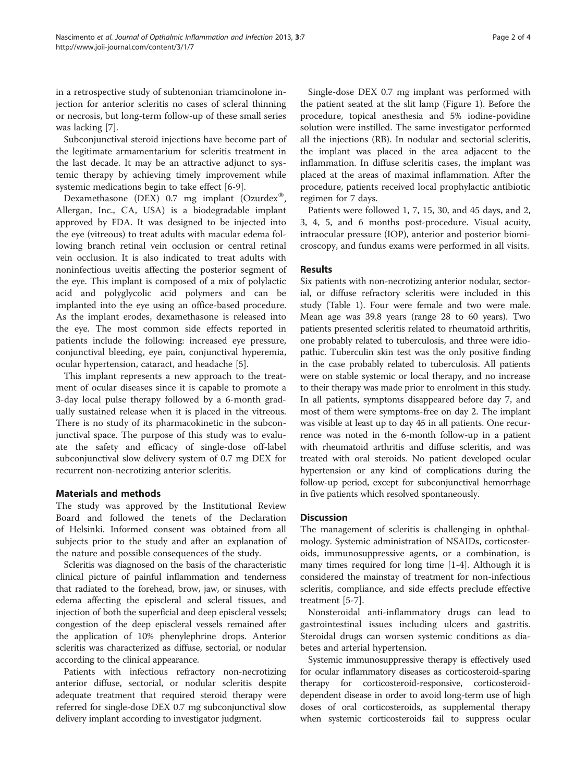in a retrospective study of subtenonian triamcinolone injection for anterior scleritis no cases of scleral thinning or necrosis, but long-term follow-up of these small series was lacking [[7\]](#page-3-0).

Subconjunctival steroid injections have become part of the legitimate armamentarium for scleritis treatment in the last decade. It may be an attractive adjunct to systemic therapy by achieving timely improvement while systemic medications begin to take effect [[6-9](#page-3-0)].

Dexamethasone (DEX) 0.7 mg implant (Ozurdex® Allergan, Inc., CA, USA) is a biodegradable implant approved by FDA. It was designed to be injected into the eye (vitreous) to treat adults with macular edema following branch retinal vein occlusion or central retinal vein occlusion. It is also indicated to treat adults with noninfectious uveitis affecting the posterior segment of the eye. This implant is composed of a mix of polylactic acid and polyglycolic acid polymers and can be implanted into the eye using an office-based procedure. As the implant erodes, dexamethasone is released into the eye. The most common side effects reported in patients include the following: increased eye pressure, conjunctival bleeding, eye pain, conjunctival hyperemia, ocular hypertension, cataract, and headache [\[5](#page-3-0)].

This implant represents a new approach to the treatment of ocular diseases since it is capable to promote a 3-day local pulse therapy followed by a 6-month gradually sustained release when it is placed in the vitreous. There is no study of its pharmacokinetic in the subconjunctival space. The purpose of this study was to evaluate the safety and efficacy of single-dose off-label subconjunctival slow delivery system of 0.7 mg DEX for recurrent non-necrotizing anterior scleritis.

# Materials and methods

The study was approved by the Institutional Review Board and followed the tenets of the Declaration of Helsinki. Informed consent was obtained from all subjects prior to the study and after an explanation of the nature and possible consequences of the study.

Scleritis was diagnosed on the basis of the characteristic clinical picture of painful inflammation and tenderness that radiated to the forehead, brow, jaw, or sinuses, with edema affecting the episcleral and scleral tissues, and injection of both the superficial and deep episcleral vessels; congestion of the deep episcleral vessels remained after the application of 10% phenylephrine drops. Anterior scleritis was characterized as diffuse, sectorial, or nodular according to the clinical appearance.

Patients with infectious refractory non-necrotizing anterior diffuse, sectorial, or nodular scleritis despite adequate treatment that required steroid therapy were referred for single-dose DEX 0.7 mg subconjunctival slow delivery implant according to investigator judgment.

Single-dose DEX 0.7 mg implant was performed with the patient seated at the slit lamp (Figure [1\)](#page-2-0). Before the procedure, topical anesthesia and 5% iodine-povidine solution were instilled. The same investigator performed all the injections (RB). In nodular and sectorial scleritis, the implant was placed in the area adjacent to the inflammation. In diffuse scleritis cases, the implant was placed at the areas of maximal inflammation. After the procedure, patients received local prophylactic antibiotic regimen for 7 days.

Patients were followed 1, 7, 15, 30, and 45 days, and 2, 3, 4, 5, and 6 months post-procedure. Visual acuity, intraocular pressure (IOP), anterior and posterior biomicroscopy, and fundus exams were performed in all visits.

# Results

Six patients with non-necrotizing anterior nodular, sectorial, or diffuse refractory scleritis were included in this study (Table [1](#page-2-0)). Four were female and two were male. Mean age was 39.8 years (range 28 to 60 years). Two patients presented scleritis related to rheumatoid arthritis, one probably related to tuberculosis, and three were idiopathic. Tuberculin skin test was the only positive finding in the case probably related to tuberculosis. All patients were on stable systemic or local therapy, and no increase to their therapy was made prior to enrolment in this study. In all patients, symptoms disappeared before day 7, and most of them were symptoms-free on day 2. The implant was visible at least up to day 45 in all patients. One recurrence was noted in the 6-month follow-up in a patient with rheumatoid arthritis and diffuse scleritis, and was treated with oral steroids. No patient developed ocular hypertension or any kind of complications during the follow-up period, except for subconjunctival hemorrhage in five patients which resolved spontaneously.

# Discussion

The management of scleritis is challenging in ophthalmology. Systemic administration of NSAIDs, corticosteroids, immunosuppressive agents, or a combination, is many times required for long time [[1-4](#page-3-0)]. Although it is considered the mainstay of treatment for non-infectious scleritis, compliance, and side effects preclude effective treatment [[5-7](#page-3-0)].

Nonsteroidal anti-inflammatory drugs can lead to gastrointestinal issues including ulcers and gastritis. Steroidal drugs can worsen systemic conditions as diabetes and arterial hypertension.

Systemic immunosuppressive therapy is effectively used for ocular inflammatory diseases as corticosteroid-sparing therapy for corticosteroid-responsive, corticosteroiddependent disease in order to avoid long-term use of high doses of oral corticosteroids, as supplemental therapy when systemic corticosteroids fail to suppress ocular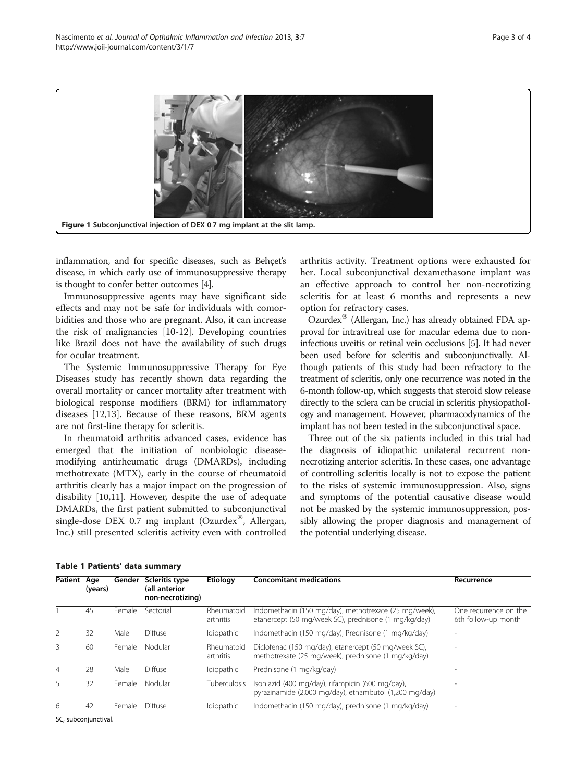<span id="page-2-0"></span>

inflammation, and for specific diseases, such as Behçet's disease, in which early use of immunosuppressive therapy is thought to confer better outcomes [\[4\]](#page-3-0).

Immunosuppressive agents may have significant side effects and may not be safe for individuals with comorbidities and those who are pregnant. Also, it can increase the risk of malignancies [\[10](#page-3-0)-[12](#page-3-0)]. Developing countries like Brazil does not have the availability of such drugs for ocular treatment.

The Systemic Immunosuppressive Therapy for Eye Diseases study has recently shown data regarding the overall mortality or cancer mortality after treatment with biological response modifiers (BRM) for inflammatory diseases [\[12,13](#page-3-0)]. Because of these reasons, BRM agents are not first-line therapy for scleritis.

In rheumatoid arthritis advanced cases, evidence has emerged that the initiation of nonbiologic diseasemodifying antirheumatic drugs (DMARDs), including methotrexate (MTX), early in the course of rheumatoid arthritis clearly has a major impact on the progression of disability [\[10,11](#page-3-0)]. However, despite the use of adequate DMARDs, the first patient submitted to subconjunctival single-dose DEX 0.7 mg implant (Ozurdex®, Allergan, Inc.) still presented scleritis activity even with controlled

arthritis activity. Treatment options were exhausted for her. Local subconjunctival dexamethasone implant was an effective approach to control her non-necrotizing scleritis for at least 6 months and represents a new option for refractory cases.

Ozurdex $^{\circledR}$  (Allergan, Inc.) has already obtained FDA approval for intravitreal use for macular edema due to noninfectious uveitis or retinal vein occlusions [\[5\]](#page-3-0). It had never been used before for scleritis and subconjunctivally. Although patients of this study had been refractory to the treatment of scleritis, only one recurrence was noted in the 6-month follow-up, which suggests that steroid slow release directly to the sclera can be crucial in scleritis physiopathology and management. However, pharmacodynamics of the implant has not been tested in the subconjunctival space.

Three out of the six patients included in this trial had the diagnosis of idiopathic unilateral recurrent nonnecrotizing anterior scleritis. In these cases, one advantage of controlling scleritis locally is not to expose the patient to the risks of systemic immunosuppression. Also, signs and symptoms of the potential causative disease would not be masked by the systemic immunosuppression, possibly allowing the proper diagnosis and management of the potential underlying disease.

|  |  |  | Table 1 Patients' data summary |
|--|--|--|--------------------------------|
|--|--|--|--------------------------------|

| <b>Patient</b> | Age<br>(years) | Gender | Scleritis type<br>(all anterior<br>non-necrotizing) | Etiology                | <b>Concomitant medications</b>                                                                                | Recurrence                                   |
|----------------|----------------|--------|-----------------------------------------------------|-------------------------|---------------------------------------------------------------------------------------------------------------|----------------------------------------------|
|                | 45             | Female | Sectorial                                           | Rheumatoid<br>arthritis | Indomethacin (150 mg/day), methotrexate (25 mg/week),<br>etanercept (50 mg/week SC), prednisone (1 mg/kg/day) | One recurrence on the<br>6th follow-up month |
| 2              | 32             | Male   | Diffuse                                             | Idiopathic              | Indomethacin (150 mg/day), Prednisone (1 mg/kg/day)                                                           |                                              |
| 3              | 60             | Female | Nodular                                             | Rheumatoid<br>arthritis | Diclofenac (150 mg/day), etanercept (50 mg/week SC),<br>methotrexate (25 mg/week), prednisone (1 mg/kg/day)   |                                              |
| $\overline{4}$ | 28             | Male   | Diffuse                                             | Idiopathic              | Prednisone (1 mg/kg/day)                                                                                      |                                              |
| 5              | 32             | Female | Nodular                                             | Tuberculosis            | Isoniazid (400 mg/day), rifampicin (600 mg/day),<br>pyrazinamide (2,000 mg/day), ethambutol (1,200 mg/day)    |                                              |
| 6<br>$ -$      | 42<br>.        | Female | Diffuse                                             | Idiopathic              | Indomethacin (150 mg/day), prednisone (1 mg/kg/day)                                                           |                                              |

SC, subconjunctival.